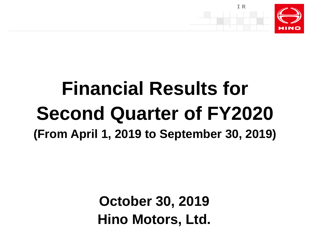

# **Financial Results for Second Quarter of FY2020 (From April 1, 2019 to September 30, 2019)**

**October 30, 2019 Hino Motors, Ltd.**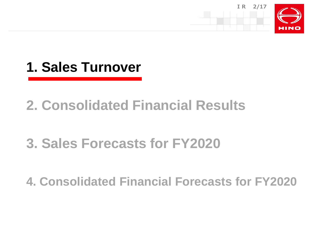



### **2. Consolidated Financial Results**

# **3. Sales Forecasts for FY2020**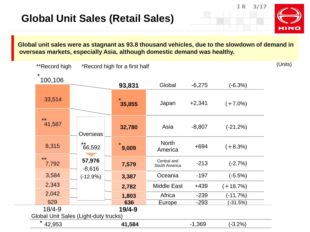**IR 3/17**



**Global unit sales were as stagnant as 93.8 thousand vehicles, due to the slowdown of demand in overseas markets, especially Asia, although domestic demand was healthy.**

| **Record high         |                                       | *Record high for a first half |                              |          |            |  |  |  |  |  |
|-----------------------|---------------------------------------|-------------------------------|------------------------------|----------|------------|--|--|--|--|--|
| $\star$<br>100,106    |                                       |                               |                              |          |            |  |  |  |  |  |
|                       |                                       | 93,831                        | Global                       | $-6,275$ | $(-6.3%)$  |  |  |  |  |  |
| 33,514                |                                       | $\star$<br>35,855             | Japan                        | $+2,341$ | $(+7.0\%)$ |  |  |  |  |  |
|                       |                                       |                               |                              |          |            |  |  |  |  |  |
| $***$<br>41,587       | <b>Overseas</b>                       | 32,780                        | Asia                         | $-8,807$ | $(-21.2%)$ |  |  |  |  |  |
| 8,315                 | $***$<br>66,592                       | *<br>9,009                    | <b>North</b><br>America      | $+694$   | $(+8.3%)$  |  |  |  |  |  |
| $\star\star$<br>7,792 | 57,976<br>$-8,616$                    | 7,579                         | Central and<br>South America | $-213$   | $(-2.7%)$  |  |  |  |  |  |
| 3,584                 | $(-12.9\%)$                           | 3,387                         | Oceania                      | $-197$   | $(-5.5%)$  |  |  |  |  |  |
| 2,343                 |                                       | 2,782                         | <b>Middle East</b>           | $+439$   | $(+18.7%)$ |  |  |  |  |  |
| 2,042                 |                                       | 1,803                         | Africa                       | $-239$   | $(-11.7%)$ |  |  |  |  |  |
| 929                   |                                       | 636                           | Europe                       | $-293$   | $(-31.5%)$ |  |  |  |  |  |
| $18/4 - 9$            |                                       | 19/4-9                        |                              |          |            |  |  |  |  |  |
|                       | Global Unit Sales (Light-duty trucks) |                               |                              |          |            |  |  |  |  |  |
| *<br>42,953           |                                       | 41,584                        |                              | $-1,369$ | $(-3.2%)$  |  |  |  |  |  |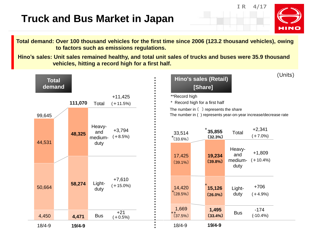### **Truck and Bus Market in Japan**

**IR 4/17**



**Total demand: Over 100 thousand vehicles for the first time since 2006 (123.2 thousand vehicles), owing to factors such as emissions regulations.**

**Hino's sales: Unit sales remained healthy, and total unit sales of trucks and buses were 35.9 thousand vehicles, hitting a record high for a first half.**

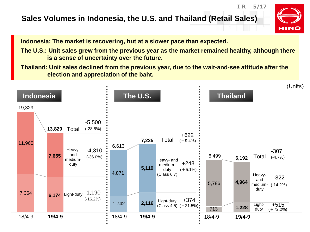#### **Sales Volumes in Indonesia, the U.S. and Thailand (Retail Sales)**



**IR 5/17**

**Indonesia: The market is recovering, but at a slower pace than expected.**

**The U.S.: Unit sales grew from the previous year as the market remained healthy, although there is a sense of uncertainty over the future.**

**Thailand: Unit sales declined from the previous year, due to the wait-and-see attitude after the election and appreciation of the baht.**

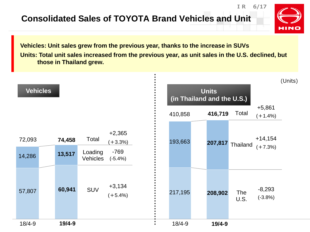**Consolidated Sales of TOYOTA Brand Vehicles and Unit**



**IR 6/17**

**Vehicles: Unit sales grew from the previous year, thanks to the increase in SUVs Units: Total unit sales increased from the previous year, as unit sales in the U.S. declined, but those in Thailand grew.**

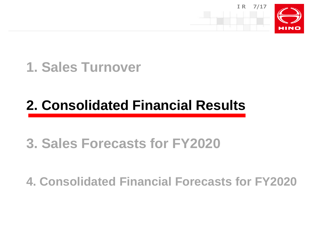

### **1. Sales Turnover**

# **2. Consolidated Financial Results**

## **3. Sales Forecasts for FY2020**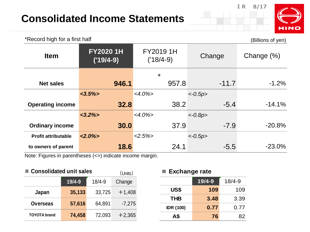### **Consolidated Income Statements**



**US\$ 109** 109

**THB 3.48** 3.39

**IDR (100) 0.77** 0.77

| *Record high for a first half                                                    |                                |                          |           | (Billions of yen) |
|----------------------------------------------------------------------------------|--------------------------------|--------------------------|-----------|-------------------|
| <b>Item</b>                                                                      | <b>FY20201H</b><br>$('19/4-9)$ | FY2019 1H<br>$('18/4-9)$ | Change    | Change $(\%)$     |
|                                                                                  |                                | $\ast$                   |           |                   |
| <b>Net sales</b>                                                                 | 946.1                          | 957.8                    | $-11.7$   | $-1.2%$           |
|                                                                                  | $<3.5\%$                       | $<4.0\%$                 | $<-0.5p>$ |                   |
| <b>Operating income</b>                                                          | 32.8                           | 38.2                     | $-5.4$    | $-14.1%$          |
|                                                                                  | $<3.2\%>$                      | $<4.0\%>$                | $<-0.8p>$ |                   |
| <b>Ordinary income</b>                                                           | 30.0                           | 37.9                     | $-7.9$    | $-20.8%$          |
| <b>Profit attributable</b>                                                       | $<2.0\%$                       | $<2.5\%>$                | $<-0.5p>$ |                   |
| to owners of parent<br>Note: Figures in perceptions of undividual income morning | 18.6                           | 24.1                     | $-5.5$    | $-23.0\%$         |

Note: Figures in parentheses (<>) indicate income margin.

| ■ Consolidated unit sales<br>(Units) |            |            |          |  | $\blacksquare$ Exchange rate |        |            |  |
|--------------------------------------|------------|------------|----------|--|------------------------------|--------|------------|--|
|                                      | $19/4 - 9$ | $18/4 - 9$ | Change   |  |                              | 19/4-9 | $18/4 - 9$ |  |
| Japan                                | 35,133     | 33,725     | $+1,408$ |  | US\$                         | 109    | 109        |  |
|                                      |            |            |          |  | <b>THB</b>                   | 3.48   | 3.39       |  |
| <b>Overseas</b>                      | 57,616     | 64.891     | $-7,275$ |  | <b>IDR (100)</b>             | 0.77   | 0.77       |  |
| <b>TOYOTA</b> brand                  | 74,458     | 72,093     | $+2,365$ |  | A\$                          | 76     | 82         |  |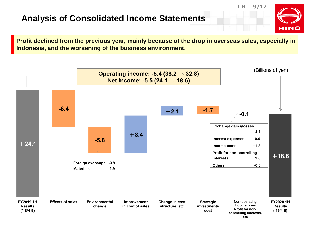#### **Analysis of Consolidated Income Statements**

**IR 9/17**



**Profit declined from the previous year, mainly because of the drop in overseas sales, especially in Indonesia, and the worsening of the business environment.**

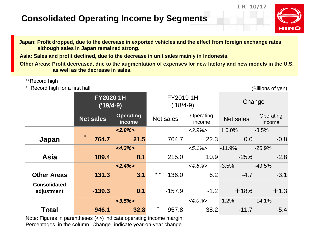#### **Consolidated Operating Income by Segments**



**Japan: Profit dropped, due to the decrease in exported vehicles and the effect from foreign exchange rates although sales in Japan remained strong.**

**Asia: Sales and profit declined, due to the decrease in unit sales mainly in Indonesia.**

**Other Areas: Profit decreased, due to the augmentation of expenses for new factory and new models in the U.S. as well as the decrease in sales.**

#### \*\*Record high

\* Record high for a first half (Billions of yen)

**IR 10/17**

|                                   | <b>FY20201H</b><br>$('19/4-9)$ |                            |           | FY2019 1H<br>$('18/4-9)$ |                     |                  | Change              |
|-----------------------------------|--------------------------------|----------------------------|-----------|--------------------------|---------------------|------------------|---------------------|
|                                   | <b>Net sales</b>               | <b>Operating</b><br>income | Net sales |                          | Operating<br>income | <b>Net sales</b> | Operating<br>income |
|                                   |                                | $<2.8\%>$                  |           |                          | $<2.9\%>$           | $+0.0%$          | $-3.5%$             |
| Japan                             | $\ast$<br>764.7                | 21.5                       |           | 764.7                    | 22.3                | 0.0              | $-0.8$              |
|                                   |                                | $<4.3\%>$                  |           |                          | $< 5.1\%$           | $-11.9%$         | $-25.9%$            |
| <b>Asia</b>                       | 189.4                          | 8.1                        |           | 215.0                    | 10.9                | $-25.6$          | $-2.8$              |
|                                   |                                | $<2.4\%>$                  |           |                          | $<4.6\%>$           | $-3.5%$          | $-49.5%$            |
| <b>Other Areas</b>                | 131.3                          | 3.1                        | $***$     | 136.0                    | 6.2                 | $-4.7$           | $-3.1$              |
| <b>Consolidated</b><br>adjustment | $-139.3$                       | 0.1                        |           | $-157.9$                 | $-1.2$              | $+18.6$          | $+1.3$              |
|                                   |                                | $<3.5\%>$                  |           |                          | $<4.0\%$            | $-1.2%$          | $-14.1%$            |
| <b>Total</b>                      | 946.1                          | 32.8                       | $\ast$    | 957.8                    | 38.2                | $-11.7$          | $-5.4$              |

Note: Figures in parentheses (<>) indicate operating income margin. Percentages in the column "Change" indicate year-on-year change.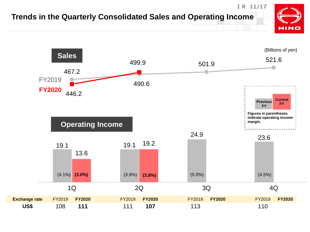### **Trends in the Quarterly Consolidated Sales and Operating Income**



**IR 11/17**

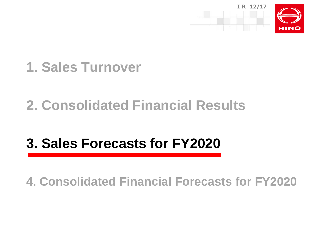

# **1. Sales Turnover**

# **2. Consolidated Financial Results**

# **3. Sales Forecasts for FY2020**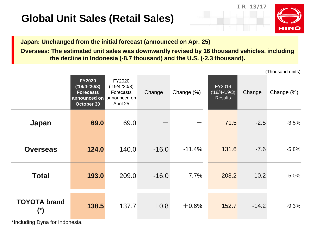### **Global Unit Sales (Retail Sales)**





(Thousand units)

**Japan: Unchanged from the initial forecast (announced on Apr. 25)**

**Overseas: The estimated unit sales was downwardly revised by 16 thousand vehicles, including the decline in Indonesia (-8.7 thousand) and the U.S. (-2.3 thousand).**

|                               |                                                                                                 |                                                    |         |            |                                             |         | (1110036110111113) |
|-------------------------------|-------------------------------------------------------------------------------------------------|----------------------------------------------------|---------|------------|---------------------------------------------|---------|--------------------|
|                               | <b>FY2020</b><br>$('19/4-'20/3)$<br><b>Forecasts</b><br>announced on announced on<br>October 30 | FY2020<br>$('19/4-'20/3)$<br>Forecasts<br>April 25 | Change  | Change (%) | FY2019<br>$('18/4-'19/3)$<br><b>Results</b> | Change  | Change (%)         |
| <b>Japan</b>                  | 69.0                                                                                            | 69.0                                               |         |            | 71.5                                        | $-2.5$  | $-3.5%$            |
| <b>Overseas</b>               | 124.0                                                                                           | 140.0                                              | $-16.0$ | $-11.4%$   | 131.6                                       | $-7.6$  | $-5.8%$            |
| <b>Total</b>                  | 193.0                                                                                           | 209.0                                              | $-16.0$ | $-7.7%$    | 203.2                                       | $-10.2$ | $-5.0%$            |
| <b>TOYOTA brand</b><br>(*)    | 138.5                                                                                           | 137.7                                              | $+0.8$  | $+0.6%$    | 152.7                                       | $-14.2$ | $-9.3%$            |
| *Ingluding Dung for Indonesia |                                                                                                 |                                                    |         |            |                                             |         |                    |

\*Including Dyna for Indonesia.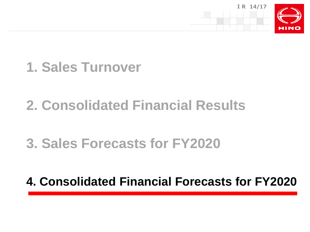



### **2. Consolidated Financial Results**

### **3. Sales Forecasts for FY2020**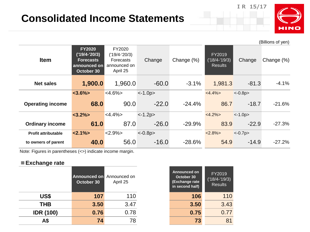### **Consolidated Income Statements**



**IR 15/17**

|                            |                                                                                    |                                                                           |           |            |                                             |           | (Billions of yen) |
|----------------------------|------------------------------------------------------------------------------------|---------------------------------------------------------------------------|-----------|------------|---------------------------------------------|-----------|-------------------|
| <b>Item</b>                | <b>FY2020</b><br>$('19/4-'20/3)$<br><b>Forecasts</b><br>announced on<br>October 30 | FY2020<br>$('19/4-'20/3)$<br><b>Forecasts</b><br>announced on<br>April 25 | Change    | Change (%) | FY2019<br>$('18/4-'19/3)$<br><b>Results</b> | Change    | Change (%)        |
| <b>Net sales</b>           | 1,900.0                                                                            | 1,960.0                                                                   | $-60.0$   | $-3.1%$    | 1,981.3                                     | $-81.3$   | $-4.1%$           |
|                            | $<3.6\%>$                                                                          | $<4.6\%>$                                                                 | $<-1.0p>$ |            | $<4.4\%>$                                   | $<-0.8p>$ |                   |
| <b>Operating income</b>    | 68.0                                                                               | 90.0                                                                      | $-22.0$   | $-24.4%$   | 86.7                                        | $-18.7$   | $-21.6%$          |
|                            | $<3.2\%>$                                                                          | $<4.4\%>$                                                                 | $<-1.2p>$ |            | $<4.2\%>$                                   | $< -1.0p$ |                   |
| <b>Ordinary income</b>     | 61.0                                                                               | 87.0                                                                      | $-26.0$   | $-29.9%$   | 83.9                                        | $-22.9$   | $-27.3%$          |
| <b>Profit attributable</b> | $< 2.1\% >$                                                                        | $ 2.9\% $                                                                 | $<-0.8p>$ |            | $<2.8\%>$                                   | $<-0.7p>$ |                   |
| to owners of parent        | 40.0                                                                               | 56.0                                                                      | $-16.0$   | $-28.6%$   | 54.9                                        | $-14.9$   | $-27.2%$          |

Note: Figures in parentheses (<>) indicate income margin.

#### **■Exchange rate**

|                  | Announced on Announced on<br>October 30 | April 25 | Announced on<br>October 30<br>(Exchange rate<br>in second half) | FY2019<br>$('18/4-'19/3)$<br><b>Results</b> |
|------------------|-----------------------------------------|----------|-----------------------------------------------------------------|---------------------------------------------|
| US\$             | 107                                     | 110      | 106                                                             | 110                                         |
| <b>THB</b>       | 3.50                                    | 3.47     | 3.50                                                            | 3.43                                        |
| <b>IDR (100)</b> | 0.76                                    | 0.78     | 0.75                                                            | 0.77                                        |
| A\$              | 74                                      | 78       | 73                                                              | 81                                          |

| Announced on<br>October 30<br>(Exchange rate<br>in second half) | FY2019<br>$(18/4 - 19/3)$<br><b>Results</b> |
|-----------------------------------------------------------------|---------------------------------------------|
| 106                                                             | 110                                         |
| 3.50                                                            | 3.43                                        |
| 0.75                                                            | 0.77                                        |
| 73                                                              | 81                                          |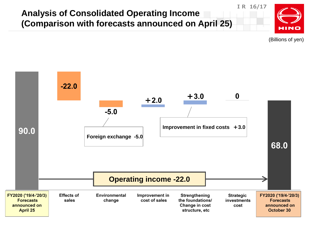

(Billions of yen)

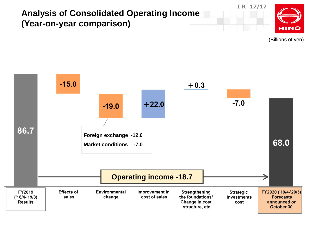#### **Analysis of Consolidated Operating Income (Year-on-year comparison)**



**IR 17/17**

(Billions of yen)